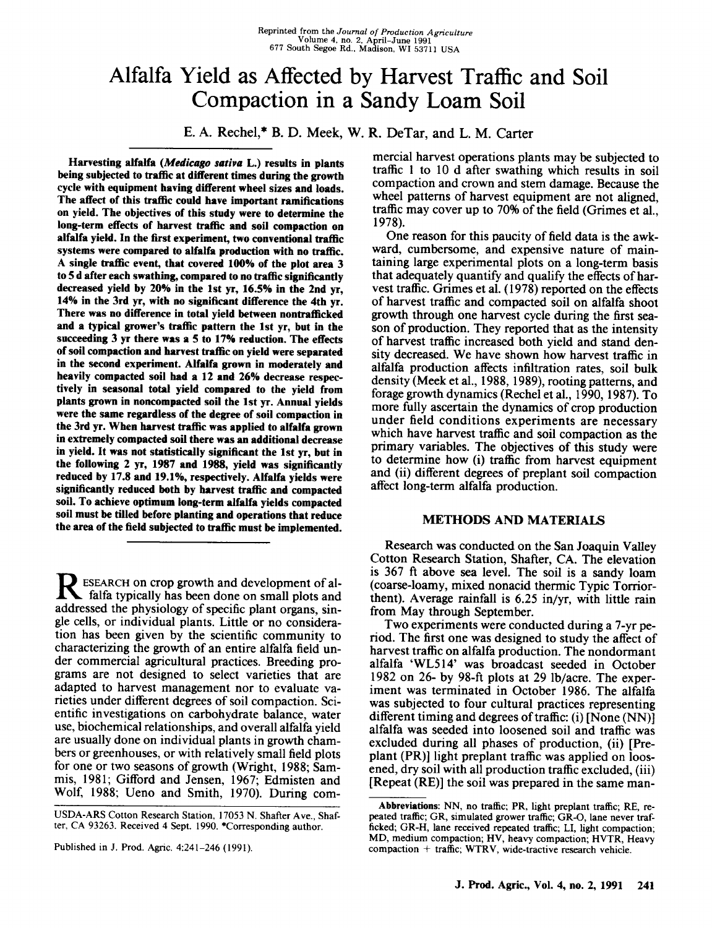# Alfalfa Yield as Affected by Harvest Traffic and Soil Compaction in a Sandy Loam Soil

**E.** A. Rechel,\* B. D. Meek, W. R. DeTar, and L. M. Carter

**Harvesting alfalfa** *(Medicago saliva* **L.) results in plants being subjected to traffic at different times during the growth cycle with equipment having different wheel sizes and loads. The affect of this traffic could have important ramifications on yield. The objectives of this study were to determine the long-term effects of harvest traffic and soil compaction on alfalfa yield. In the first experiment, two conventional traffic systems were compared to alfalfa production with no traffic. A single traffic event, that covered 100% of the plot area 3 to 5 d after each swathing, compared to no traffic significantly decreased yield by 20% in the 1st yr, 16.5% in the 2nd yr, 14% in the 3rd yr, with no significant difference the 4th yr. There was no difference in total yield between nontrafficked and a typical grower's traffic pattern the 1st yr, but in the succeeding 3 yr there was a 5 to 17% reduction. The effects of soil compaction and harvest traffic on yield were separated in the second experiment. Alfalfa grown in moderately and heavily compacted soil had a 12 and 26% decrease respectively in seasonal total yield compared to the yield from plants grown in noncompacted soil the 1st yr. Annual yields were the same regardless of the degree of soil compaction in the 3rd yr. When harvest traffic was applied to alfalfa grown in extremely compacted soil there was an additional decrease in yield. It was not statistically significant the 1st yr, but in the following 2 yr, 1987 and 1988, yield was significantly reduced by 17.8 and 19.1%, respectively. Alfalfa yields were significantly reduced both by harvest traffic and compacted soil. To achieve optimum long-term alfalfa yields compacted soil must be tilled before planting and operations that reduce the area of the field subjected to traffic must be implemented.**

R ESEARCH on crop growth and development of al-<br>falfa typically has been done on small plots and falfa typically has been done on small plots and addressed the physiology of specific plant organs, single cells, or individual plants. Little or no consideration has been given by the scientific community to characterizing the growth of an entire alfalfa field under commercial agricultural practices. Breeding programs are not designed to select varieties that are adapted to harvest management nor to evaluate varieties under different degrees of soil compaction. Scientific investigations on carbohydrate balance, water use, biochemical relationships, and overall alfalfa yield are usually done on individual plants in growth chambers or greenhouses, or with relatively small field plots for one or two seasons of growth (Wright, 1988; Sammis, 1981; Gifford and Jensen, 1967; Edmisten and Wolf, 1988; Ueno and Smith, 1970). During com-

USDA-ARS Cotton Research Station, 17053 N. Shafter Ave., Shafter, CA 93263. Received 4 Sept. 1990. \*Corresponding author.

Published in J. Prod. Agric. 4:241-246 (1991).

mercial harvest operations plants may be subjected to traffic 1 to 10 d after swathing which results in soil compaction and crown and stem damage. Because the wheel patterns of harvest equipment are not aligned, traffic may cover up to 70% of the field (Grimes et al., 1978).

One reason for this paucity of field data is the awkward, cumbersome, and expensive nature of maintaining large experimental plots on a long-term basis that adequately quantify and qualify the effects of harvest traffic. Grimes et al. (1978) reported on the effects of harvest traffic and compacted soil on alfalfa shoot growth through one harvest cycle during the first season of production. They reported that as the intensity of harvest traffic increased both yield and stand density decreased. We have shown how harvest traffic in alfalfa production affects infiltration rates, soil bulk density (Meek et al., 1988, 1989), rooting patterns, and forage growth dynamics (Rechel et al., 1990, 1987). To more fully ascertain the dynamics of crop production under field conditions experiments are necessary which have harvest traffic and soil compaction as the primary variables. The objectives of this study were to determine how (i) traffic from harvest equipment and (ii) different degrees of preplant soil compaction affect long-term alfalfa production.

#### **METHODS AND MATERIALS**

Research was conducted on the San Joaquin Valley Cotton Research Station, Shafter, CA. The elevation is 367 ft above sea level. The soil is a sandy loam (coarse-loamy, mixed nonacid thermic Typic Torriorthent). Average rainfall is 6.25 in/yr, with little rain from May through September.

Two experiments were conducted during a 7-yr period. The first one was designed to study the affect of harvest traffic on alfalfa production. The nondormant alfalfa `WL514' was broadcast seeded in October 1982 on 26- by 98-ft plots at 29 lb/acre. The experiment was terminated in October 1986. The alfalfa was subjected to four cultural practices representing different timing and degrees of traffic: (i) [None (NN)] alfalfa was seeded into loosened soil and traffic was excluded during all phases of production, (ii) [Preplant (PR)] light preplant traffic was applied on loosened, dry soil with all production traffic excluded, (iii) [Repeat (RE)] the soil was prepared in the same man-

**Abbreviations:** NN, no traffic; PR, light preplant traffic; RE, repeated traffic; GR, simulated grower traffic; GR-O, lane never trafficked; GR-H, lane received repeated traffic; LI, light compaction; MD, medium compaction; HV, heavy compaction; HVTR, Heavy compaction + traffic; WTRV, wide-tractive research vehicle.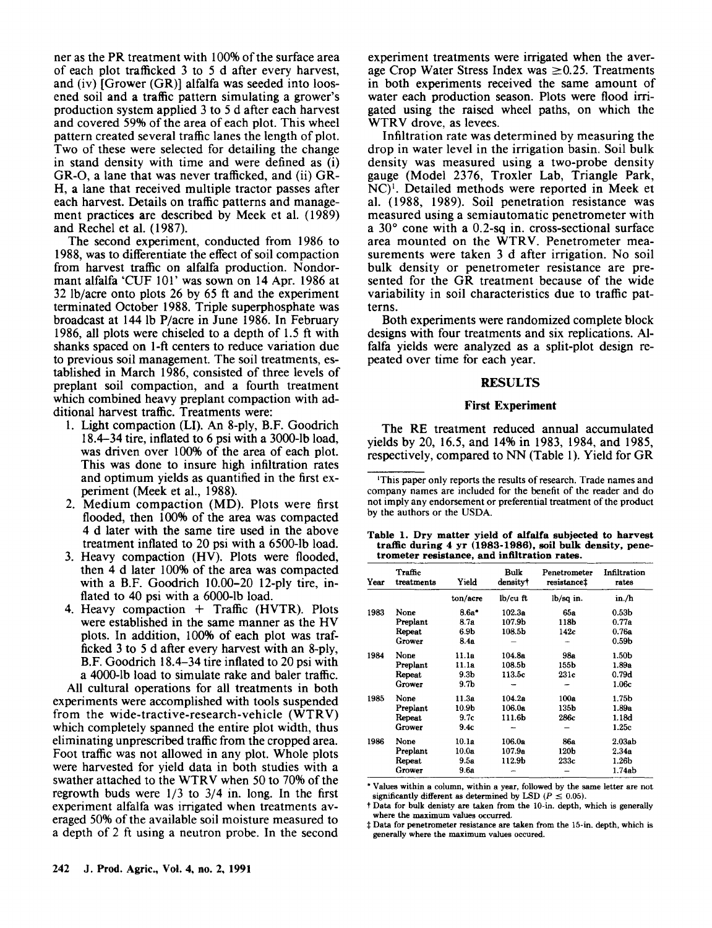ner as the PR treatment with 100% of the surface area of each plot trafficked 3 to 5 d after every harvest, and (iv) [Grower (GR)] alfalfa was seeded into loosened soil and a traffic pattern simulating a grower's production system applied 3 to 5 d after each harvest and covered 59% of the area of each plot. This wheel pattern created several traffic lanes the length of plot. Two of these were selected for detailing the change in stand density with time and were defined as (i) GR-O, a lane that was never trafficked, and (ii) GR-H, a lane that received multiple tractor passes after each harvest. Details on traffic patterns and management practices are described by Meek et al. (1989) and Rechel et al. (1987).

The second experiment, conducted from 1986 to 1988, was to differentiate the effect of soil compaction from harvest traffic on alfalfa production. Nondormant alfalfa `CUF 101' was sown on 14 Apr. 1986 at 32 lb/acre onto plots 26 by 65 ft and the experiment terminated October 1988. Triple superphosphate was broadcast at 144 lb P/acre in June 1986. In February 1986, all plots were chiseled to a depth of 1.5 ft with shanks spaced on 1-ft centers to reduce variation due to previous soil management. The soil treatments, established in March 1986, consisted of three levels of preplant soil compaction, and a fourth treatment which combined heavy preplant compaction with additional harvest traffic. Treatments were:

- 1. Light compaction (LI). An 8-ply, B.F. Goodrich 18.4-34 tire, inflated to 6 psi with a 3000-lb load, was driven over 100% of the area of each plot. This was done to insure high infiltration rates and optimum yields as quantified in the first experiment (Meek et al., 1988).
- 2. Medium compaction (MD). Plots were first flooded, then 100% of the area was compacted 4 d later with the same tire used in the above treatment inflated to 20 psi with a 6500-lb load.
- 3. Heavy compaction (HV). Plots were flooded, then 4 d later 100% of the area was compacted with a B.F. Goodrich 10.00-20 12-ply tire, inflated to 40 psi with a 6000-lb load.
- 4. Heavy compaction  $+$  Traffic (HVTR). Plots were established in the same manner as the HV plots. In addition, 100% of each plot was trafficked 3 to 5 d after every harvest with an 8-ply, B.F. Goodrich 18.4-34 tire inflated to 20 psi with a 4000-lb load to simulate rake and baler traffic.

All cultural operations for all treatments in both experiments were accomplished with tools suspended from the wide-tractive-research-vehicle (WTRV) which completely spanned the entire plot width, thus eliminating unprescribed traffic from the cropped area. Foot traffic was not allowed in any plot. Whole plots were harvested for yield data in both studies with a swather attached to the WTRV when 50 to 70% of the regrowth buds were  $1/3$  to  $3/4$  in. long. In the first experiment alfalfa was irrigated when treatments averaged 50% of the available soil moisture measured to a depth of 2 ft using a neutron probe. In the second experiment treatments were irrigated when the average Crop Water Stress Index was  $\geq 0.25$ . Treatments in both experiments received the same amount of water each production season. Plots were flood irrigated using the raised wheel paths, on which the WTRV drove, as levees.

Infiltration rate was determined by measuring the drop in water level in the irrigation basin. Soil bulk density was measured using a two-probe density gauge (Model 2376, Troxler Lab, Triangle Park, NC)'. Detailed methods were reported in Meek et al. (1988, 1989). Soil penetration resistance was measured using a semiautomatic penetrometer with a 30° cone with a 0.2-sq in. cross-sectional surface area mounted on the WTRV. Penetrometer measurements were taken 3 d after irrigation. No soil bulk density or penetrometer resistance are presented for the GR treatment because of the wide variability in soil characteristics due to traffic patterns.

Both experiments were randomized complete block designs with four treatments and six replications. Alfalfa yields were analyzed as a split-plot design repeated over time for each year.

## **RESULTS**

#### **First Experiment**

The RE treatment reduced annual accumulated yields by 20, 16.5, and 14% in 1983, 1984, and 1985, respectively, compared to NN (Table 1). Yield for GR

<sup>&#</sup>x27;This paper only reports the results of research. Trade names and company names are included for the benefit of the reader and do not imply any endorsement or preferential treatment of the product by the authors or the USDA.

| Table 1. Drv matter vield of alfalfa subjected to harvest |  |
|-----------------------------------------------------------|--|
| traffic during 4 yr (1983-1986), soil bulk density, pene- |  |
| trometer resistance, and infiltration rates.              |  |

| Year | Traffic<br>treatments | Yield            | Bulk<br>density†   | Penetrometer<br>resistance <sup>+</sup> | Infiltration<br>rates |
|------|-----------------------|------------------|--------------------|-----------------------------------------|-----------------------|
|      |                       | ton/acre         | lb/cu ft           | lb/sq in.                               | in./h                 |
| 1983 | None                  | $8.6a*$          | 102.3a             | 65а                                     | 0.53b                 |
|      | Preplant              | 8.7a             | 107.9b             | 118b                                    | 0.77a                 |
|      | Repeat                | 6.9 <sub>b</sub> | 108.5 <sub>b</sub> | 142с                                    | 0.76a                 |
|      | Grower                | 8.4a             |                    |                                         | 0.59 <sub>b</sub>     |
| 1984 | None                  | 11.1a            | 104.8a             | 98a                                     | 1.50b                 |
|      | Preplant              | 11.1a            | 108.5b             | 155b                                    | 1.89a                 |
|      | Repeat                | 9.3b             | 113.5c             | 231c                                    | 0.79d                 |
|      | Grower                | 9.7 <sub>b</sub> |                    |                                         | 1.06c                 |
| 1985 | None                  | 11.3a            | 104.2a             | 100a                                    | 1.75b                 |
|      | Preplant              | 10.9b            | 106.0a             | 135b                                    | 1.89a                 |
|      | Repeat                | 9.7c             | 111.6b             | 286с                                    | 1.18d                 |
|      | Grower                | 9.4c             |                    |                                         | 1.25c                 |
| 1986 | None                  | 10.1a            | 106.0a             | <b>86a</b>                              | 2.03ab                |
|      | Preplant              | 10.0a            | 107.9a             | 120b                                    | 2.34a                 |
|      | Repeat                | 9.5a             | 112.9b             | 233c                                    | 1.26 <sub>b</sub>     |
|      | Grower                | 9.6a             |                    |                                         | 1.74ab                |

\* Values within a column, within a year, followed by the same letter are not significantly different as determined by LSD  $(P \le 0.05)$ .

t Data for bulk denisty are taken from the 10-in. depth, which is generally where the maximum values occurred.

Data for penetrometer resistance are taken from the 15-in. depth, which is generally where the maximum values occured.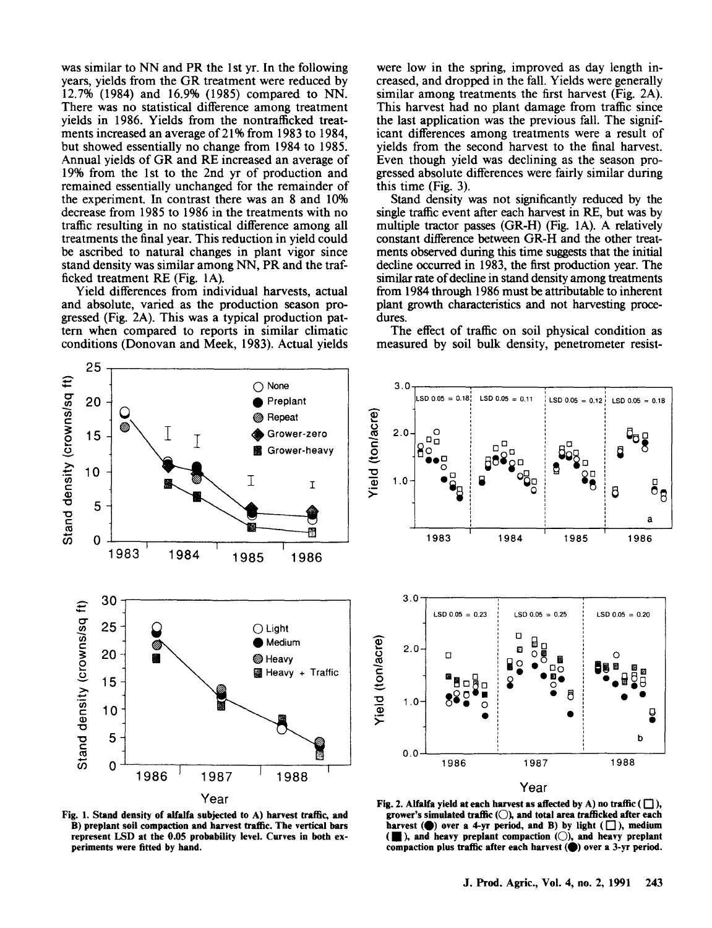was similar to NN and PR the 1st yr. In the following years, yields from the GR treatment were reduced by 12.7% (1984) and 16.9% (1985) compared to NN. There was no statistical difference among treatment yields in 1986. Yields from the nontrafficked treatments increased an average of 21% from 1983 to 1984, but showed essentially no change from 1984 to 1985. Annual yields of GR and RE increased an average of 19% from the 1st to the 2nd yr of production and remained essentially unchanged for the remainder of the experiment. In contrast there was an 8 and 10% decrease from 1985 to 1986 in the treatments with no traffic resulting in no statistical difference among all treatments the final year. This reduction in yield could be ascribed to natural changes in plant vigor since stand density was similar among NN, PR and the trafficked treatment RE (Fig. 1A).

Yield differences from individual harvests, actual and absolute, varied as the production season progressed (Fig. 2A). This was a typical production pattern when compared to reports in similar climatic conditions (Donovan and Meek, 1983). Actual yields

were low in the spring, improved as day length increased, and dropped in the fall. Yields were generally similar among treatments the first harvest (Fig. 2A). This harvest had no plant damage from traffic since the last application was the previous fall. The significant differences among treatments were a result of yields from the second harvest to the final harvest. Even though yield was declining as the season progressed absolute differences were fairly similar during this time (Fig. 3).

Stand density was not significantly reduced by the single traffic event after each harvest in RE, but was by multiple tractor passes (GR-H) (Fig. 1A). A relatively constant difference between GR-H and the other treatments observed during this time suggests that the initial decline occurred in 1983, the first production year. The similar rate of decline in stand density among treatments from 1984 through 1986 must be attributable to inherent plant growth characteristics and not harvesting procedures.

The effect of traffic on soil physical condition as measured by soil bulk density, penetrometer resist-





**Fig. 1. Stand density of alfalfa subjected to A) harvest traffic, and B) preplant soil compaction and harvest traffic. The vertical bars represent LSD at the 0.05 probability level. Curves in both experiments were fitted by hand.**

**Fig. 2. Alfalfa yield at each harvest as affected by A) no traffic**  $(\Box)$ **, grower's simulated traffic (0), and total area trafficked after each** harvest  $($ **)** over a 4-yr period, and B) by light  $($   $\Box$ ), medium  $(\blacksquare)$ , and heavy preplant compaction  $(\bigcirc)$ , and heavy preplant compaction plus traffic after each harvest ( $\bullet$ ) over a 3-yr period.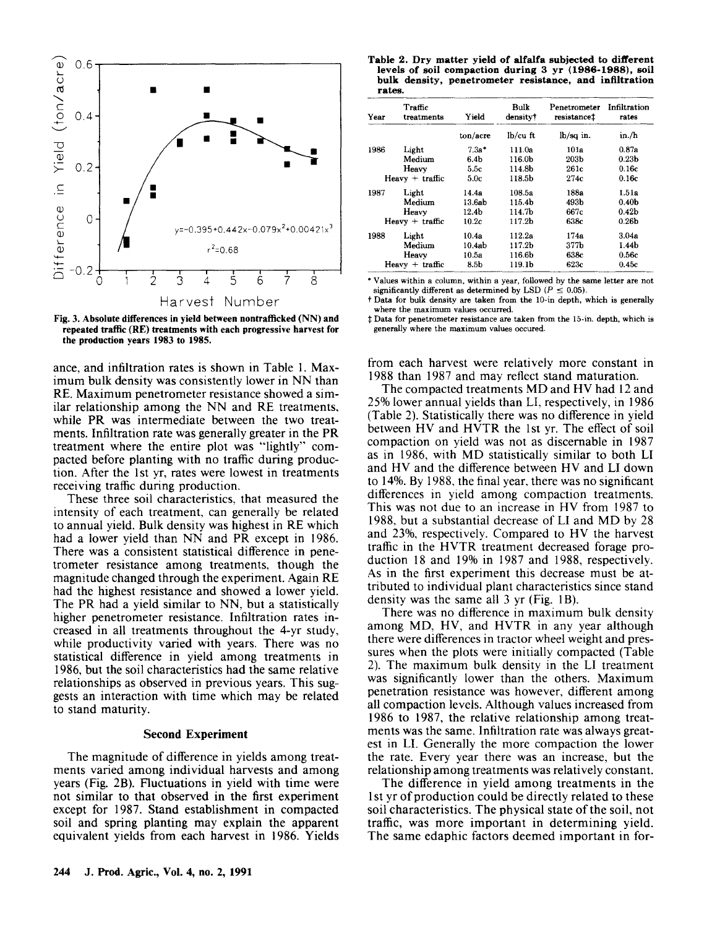

**Fig.** 3. **Absolute differences in yield between nontrafficked** (NN) **and repeated traffic (RE) treatments with each progressive harvest for the production years 1983 to 1985.**

ance, and infiltration rates is shown in Table 1. Maximum bulk density was consistently lower in NN than RE. Maximum penetrometer resistance showed a similar relationship among the NN and RE treatments, while PR was intermediate between the two treatments. Infiltration rate was generally greater in the PR treatment where the entire plot was "lightly" compacted before planting with no traffic during production. After the 1st yr, rates were lowest in treatments receiving traffic during production.

These three soil characteristics, that measured the intensity of each treatment, can generally be related to annual yield. Bulk density was highest in RE which had a lower yield than NN and PR except in 1986. There was a consistent statistical difference in penetrometer resistance among treatments, though the magnitude changed through the experiment. Again RE had the highest resistance and showed a lower yield. The PR had a yield similar to NN, but a statistically higher penetrometer resistance. Infiltration rates increased in all treatments throughout the 4-yr study, while productivity varied with years. There was no statistical difference in yield among treatments in 1986, but the soil characteristics had the same relative relationships as observed in previous years. This suggests an interaction with time which may be related to stand maturity.

## **Second Experiment**

The magnitude of difference in yields among treatments varied among individual harvests and among years (Fig. 2B). Fluctuations in yield with time were not similar to that observed in the first experiment except for 1987. Stand establishment in compacted soil and spring planting may explain the apparent equivalent yields from each harvest in 1986. Yields

**Table 2. Dry matter yield of alfalfa subjected to different levels of soil compaction during 3 yr (1986-1988), soil bulk density, penetrometer resistance, and infiltration rates.**

| Year | Traffic<br>treatments | Yield    | Bulk<br>density† | Penetrometer<br>resistance <sup>t</sup> | Infiltration<br>rates |
|------|-----------------------|----------|------------------|-----------------------------------------|-----------------------|
|      |                       | ton/acre | $lb/cu$ ft       | $lb/sq$ in.                             | in./h                 |
| 1986 | Light                 | $7.3a*$  | 111.0a           | 101a                                    | 0.87a                 |
|      | Medium                | 6.4b     | 116.0b           | 203b                                    | 0.23 <sub>b</sub>     |
|      | Heavy                 | 5.5c     | 114.8h           | 261c                                    | 0.16c                 |
|      | $Heavv + traffic$     | 5.0c     | 118.5h           | 274c                                    | 0.16c                 |
| 1987 | Light                 | 14.4a    | 108.5a           | 188a                                    | 1.51a                 |
|      | Medium                | 13.6ab   | 115.4b           | 493b                                    | 0.40 <sub>b</sub>     |
|      | Heavy                 | 12.4b    | 114.7h           | 667c                                    | 0.42 <sub>b</sub>     |
|      | $Heavy + traffic$     | 10.2c    | 117.2h           | 638c                                    | 0.26 <sub>b</sub>     |
| 1988 | Light                 | 10.4a    | 112.2a           | 174а                                    | 3.04a                 |
|      | Medium                | 10.4ab   | 117.2b           | 377h                                    | 1.44b                 |
|      | Heavy                 | 10.5a    | 116.6b           | 638c                                    | 0.56c                 |
|      | $Heavy + traffic$     | 8.5b     | 119.1b           | 623c                                    | 0.45c                 |

Values within a column, within a year, followed by the same letter are not significantly different as determined by LSD  $(P \le 0.05)$ .

t Data for bulk density are taken from the 10-in depth, which is generally where the maximum values occurred.

Data for penetrometer resistance are taken from the 15-in. depth, which is generally where the maximum values occured.

from each harvest were relatively more constant in 1988 than 1987 and may reflect stand maturation.

The compacted treatments MD and HV had 12 and 25% lower annual yields than LI, respectively, in 1986 (Table 2). Statistically there was no difference in yield between HV and HVTR the 1st yr. The effect of soil compaction on yield was not as discernable in 1987 as in 1986, with MD statistically similar to both LI and HV and the difference between HV and LI down to 14%. By 1988, the final year, there was no significant differences in yield among compaction treatments. This was not due to an increase in HV from 1987 to 1988, but a substantial decrease of LI and MD by 28 and 23%, respectively. Compared to HV the harvest traffic in the HVTR treatment decreased forage production 18 and 19% in 1987 and 1988, respectively. As in the first experiment this decrease must be attributed to individual plant characteristics since stand density was the same all 3 yr (Fig. 1B).

There was no difference in maximum bulk density among MD, HV, and HVTR in any year although there were differences in tractor wheel weight and pressures when the plots were initially compacted (Table 2). The maximum bulk density in the LI treatment was significantly lower than the others. Maximum penetration resistance was however, different among all compaction levels. Although values increased from 1986 to 1987, the relative relationship among treatments was the same. Infiltration rate was always greatest in LI. Generally the more compaction the lower the rate. Every year there was an increase, but the relationship among treatments was relatively constant.

The difference in yield among treatments in the 1st yr of production could be directly related to these soil characteristics. The physical state of the soil, not traffic, was more important in determining yield. The same edaphic factors deemed important in for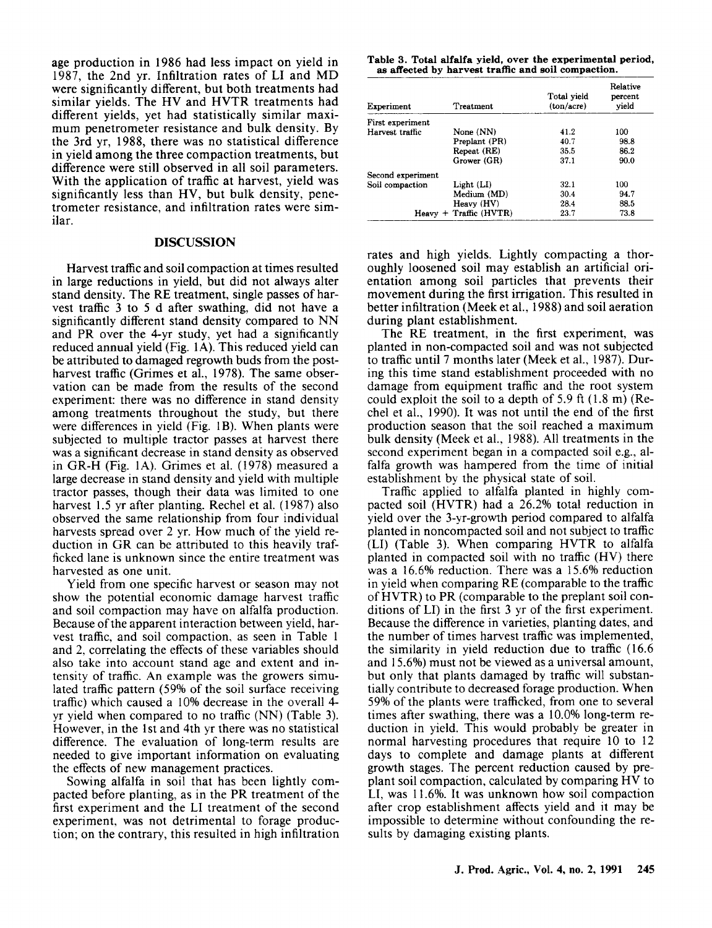age production in 1986 had less impact on yield in 1987, the 2nd yr. Infiltration rates of LI and MD were significantly different, but both treatments had similar yields. The HV and HVTR treatments had different yields, yet had statistically similar maximum penetrometer resistance and bulk density. By the 3rd yr, 1988, there was no statistical difference in yield among the three compaction treatments, but difference were still observed in all soil parameters. With the application of traffic at harvest, yield was significantly less than HV, but bulk density, penetrometer resistance, and infiltration rates were similar.

### **DISCUSSION**

Harvest traffic and soil compaction at times resulted in large reductions in yield, but did not always alter stand density. The RE treatment, single passes of harvest traffic 3 to 5 d after swathing, did not have a significantly different stand density compared to NN and PR over the 4-yr study, yet had a significantly reduced annual yield (Fig. 1A). This reduced yield can be attributed to damaged regrowth buds from the postharvest traffic (Grimes et al., 1978). The same observation can be made from the results of the second experiment: there was no difference in stand density among treatments throughout the study, but there were differences in yield (Fig. 1B). When plants were subjected to multiple tractor passes at harvest there was a significant decrease in stand density as observed in GR-H (Fig. 1A). Grimes et al. (1978) measured a large decrease in stand density and yield with multiple tractor passes, though their data was limited to one harvest 1.5 yr after planting. Rechel et al. (1987) also observed the same relationship from four individual harvests spread over 2 yr. How much of the yield reduction in GR can be attributed to this heavily trafficked lane is unknown since the entire treatment was harvested as one unit.

Yield from one specific harvest or season may not show the potential economic damage harvest traffic and soil compaction may have on alfalfa production. Because of the apparent interaction between yield, harvest traffic, and soil compaction, as seen in Table 1 and 2, correlating the effects of these variables should also take into account stand age and extent and intensity of traffic. An example was the growers simulated traffic pattern (59% of the soil surface receiving traffic) which caused a 10% decrease in the overall 4 yr yield when compared to no traffic (NN) (Table 3). However, in the 1st and 4th yr there was no statistical difference. The evaluation of long-term results are needed to give important information on evaluating the effects of new management practices.

Sowing alfalfa in soil that has been lightly compacted before planting, as in the PR treatment of the first experiment and the LI treatment of the second experiment, was not detrimental to forage production; on the contrary, this resulted in high infiltration

**Table 3. Total alfalfa yield, over the experimental period,** *as affected* **by harvest traffic and soil compaction.**

| Experiment        | Treatment                | Total vield<br>(ton/acre) | Relative<br>percent<br>yield |
|-------------------|--------------------------|---------------------------|------------------------------|
| First experiment  |                          |                           |                              |
| Harvest traffic   | None (NN)                | 41.2                      | 100                          |
|                   | Preplant (PR)            | 40.7                      | 98.8                         |
|                   | Repeat (RE)              | 35.5                      | 86.2                         |
|                   | Grower (GR)              | 37.1                      | 90.0                         |
| Second experiment |                          |                           |                              |
| Soil compaction   | Light (LI)               | 32.1                      | 100                          |
|                   | Medium (MD)              | 30.4                      | 94.7                         |
|                   | Heavy (HV)               | 28.4                      | 88.5                         |
|                   | $Heavy + Traffic (HVTR)$ | 23.7                      | 73.8                         |

rates and high yields. Lightly compacting a thoroughly loosened soil may establish an artificial orientation among soil particles that prevents their movement during the first irrigation. This resulted in better infiltration (Meek et al., 1988) and soil aeration during plant establishment.

The RE treatment, in the first experiment, was planted in non-compacted soil and was not subjected to traffic until 7 months later (Meek et al., 1987). During this time stand establishment proceeded with no damage from equipment traffic and the root system could exploit the soil to a depth of 5.9 ft (1.8 m) (Rechel et al., 1990). It was not until the end of the first production season that the soil reached a maximum bulk density (Meek et al., 1988). All treatments in the second experiment began in a compacted soil e.g., alfalfa growth was hampered from the time of initial establishment by the physical state of soil.

Traffic applied to alfalfa planted in highly compacted soil (HVTR) had a 26.2% total reduction in yield over the 3-yr-growth period compared to alfalfa planted in noncompacted soil and not subject to traffic (LI) (Table 3). When comparing HVTR to alfalfa planted in compacted soil with no traffic (HV) there was a 16.6% reduction. There was a 15.6% reduction in yield when comparing RE (comparable to the traffic of HVTR) to PR (comparable to the preplant soil conditions of LI) in the first 3 yr of the first experiment. Because the difference in varieties, planting dates, and the number of times harvest traffic was implemented, the similarity in yield reduction due to traffic (16.6 and 15.6%) must not be viewed as a universal amount, but only that plants damaged by traffic will substantially contribute to decreased forage production. When 59% of the plants were trafficked, from one to several times after swathing, there was a 10.0% long-term reduction in yield. This would probably be greater in normal harvesting procedures that require 10 to 12 days to complete and damage plants at different growth stages. The percent reduction caused by preplant soil compaction, calculated by comparing HV to LI, was 11.6%. It was unknown how soil compaction after crop establishment affects yield and it may be impossible to determine without confounding the results by damaging existing plants.